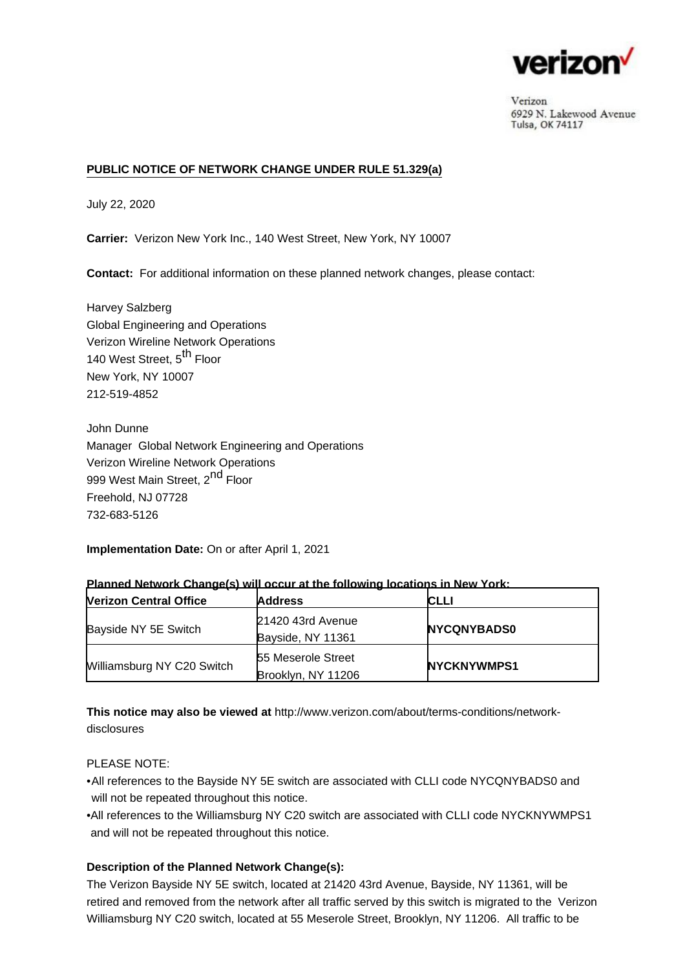

Verizon 6929 N. Lakewood Avenue Tulsa, OK 74117

# **PUBLIC NOTICE OF NETWORK CHANGE UNDER RULE 51.329(a)**

July 22, 2020

**Carrier:** Verizon New York Inc., 140 West Street, New York, NY 10007

**Contact:** For additional information on these planned network changes, please contact:

Harvey Salzberg Global Engineering and Operations Verizon Wireline Network Operations 140 West Street, 5<sup>th</sup> Floor New York, NY 10007 212-519-4852

John Dunne Manager Global Network Engineering and Operations Verizon Wireline Network Operations 999 West Main Street, 2<sup>nd</sup> Floor Freehold, NJ 07728 732-683-5126

**Implementation Date:** On or after April 1, 2021

| <b>Nerizon Central Office</b> | <b>Address</b>                                  | <b>CLLI</b>        |
|-------------------------------|-------------------------------------------------|--------------------|
| Bayside NY 5E Switch          | 21420 43rd Avenue<br>Bayside, NY 11361          | <b>NYCQNYBADS0</b> |
| Williamsburg NY C20 Switch    | <b>55 Meserole Street</b><br>Brooklyn, NY 11206 | <b>NYCKNYWMPS1</b> |

## **Planned Network Change(s) will occur at the following locations in New York:**

**This notice may also be viewed at** [http://www.verizon.com/about/terms-conditions/network](http://www.verizon.com/about/terms-conditions/network-disclosures)[disclosures](http://www.verizon.com/about/terms-conditions/network-disclosures)

## PLEASE NOTE:

- •All references to the Bayside NY 5E switch are associated with CLLI code NYCQNYBADS0 and will not be repeated throughout this notice.
- All references to the Williamsburg NY C20 switch are associated with CLLI code NYCKNYWMPS1 and will not be repeated throughout this notice.

## **Description of the Planned Network Change(s):**

The Verizon Bayside NY 5E switch, located at 21420 43rd Avenue, Bayside, NY 11361, will be retired and removed from the network after all traffic served by this switch is migrated to the Verizon Williamsburg NY C20 switch, located at 55 Meserole Street, Brooklyn, NY 11206. All traffic to be